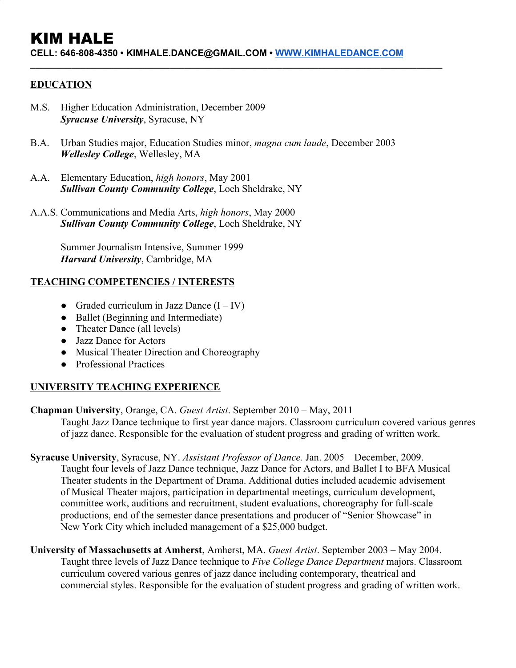# KIM HALE

**CELL: 646-808-4350 • KIMHALE.DANCE@GMAIL.COM • [WWW.KIMHALEDANCE.COM](http://www.kimhaledance.com/)**

**\_\_\_\_\_\_\_\_\_\_\_\_\_\_\_\_\_\_\_\_\_\_\_\_\_\_\_\_\_\_\_\_\_\_\_\_\_\_\_\_\_\_\_\_\_\_\_\_\_\_\_\_\_\_\_\_\_\_\_\_\_\_\_\_\_\_\_\_\_\_\_\_\_\_\_\_\_\_\_\_**

## **EDUCATION**

- M.S. Higher Education Administration, December 2009 *Syracuse University*, Syracuse, NY
- B.A. Urban Studies major, Education Studies minor, *magna cum laude*, December 2003 *Wellesley College*, Wellesley, MA
- A.A. Elementary Education, *high honors*, May 2001 *Sullivan County Community College*, Loch Sheldrake, NY
- A.A.S. Communications and Media Arts, *high honors*, May 2000 *Sullivan County Community College*, Loch Sheldrake, NY

Summer Journalism Intensive, Summer 1999 *Harvard University*, Cambridge, MA

## **TEACHING COMPETENCIES / INTERESTS**

- Graded curriculum in Jazz Dance  $(I IV)$
- Ballet (Beginning and Intermediate)
- Theater Dance (all levels)
- Jazz Dance for Actors
- Musical Theater Direction and Choreography
- Professional Practices

## **UNIVERSITY TEACHING EXPERIENCE**

#### **Chapman University**, Orange, CA. *Guest Artist*. September 2010 – May, 2011

Taught Jazz Dance technique to first year dance majors. Classroom curriculum covered various genres of jazz dance. Responsible for the evaluation of student progress and grading of written work.

- **Syracuse University**, Syracuse, NY. *Assistant Professor of Dance.* Jan. 2005 December, 2009. Taught four levels of Jazz Dance technique, Jazz Dance for Actors, and Ballet I to BFA Musical Theater students in the Department of Drama. Additional duties included academic advisement of Musical Theater majors, participation in departmental meetings, curriculum development, committee work, auditions and recruitment, student evaluations, choreography for full-scale productions, end of the semester dance presentations and producer of "Senior Showcase" in New York City which included management of a \$25,000 budget.
- **University of Massachusetts at Amherst**, Amherst, MA. *Guest Artist*. September 2003 May 2004. Taught three levels of Jazz Dance technique to *Five College Dance Department* majors. Classroom curriculum covered various genres of jazz dance including contemporary, theatrical and commercial styles. Responsible for the evaluation of student progress and grading of written work.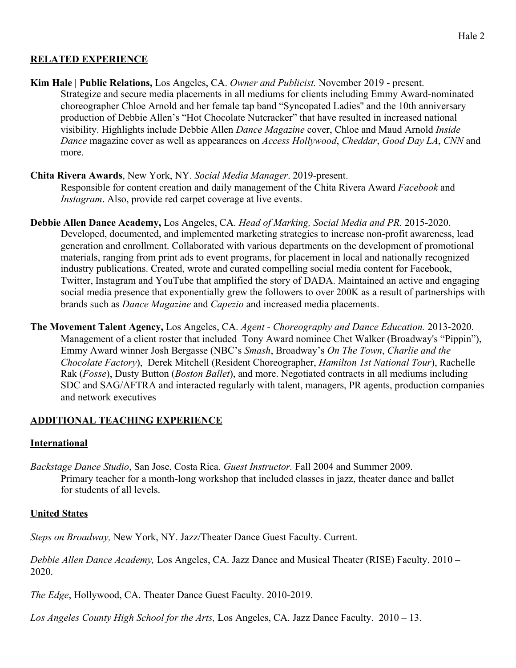## **RELATED EXPERIENCE**

**Kim Hale | Public Relations,** Los Angeles, CA. *Owner and Publicist.* November 2019 - present. Strategize and secure media placements in all mediums for clients including Emmy Award-nominated choreographer Chloe Arnold and her female tap band "Syncopated Ladies'' and the 10th anniversary production of Debbie Allen's "Hot Chocolate Nutcracker" that have resulted in increased national visibility. Highlights include Debbie Allen *Dance Magazine* cover, Chloe and Maud Arnold *Inside Dance* magazine cover as well as appearances on *Access Hollywood*, *Cheddar*, *Good Day LA*, *CNN* and more.

## **Chita Rivera Awards**, New York, NY. *Social Media Manager*. 2019-present.

Responsible for content creation and daily management of the Chita Rivera Award *Facebook* and *Instagram*. Also, provide red carpet coverage at live events.

- **Debbie Allen Dance Academy,** Los Angeles, CA. *Head of Marking, Social Media and PR.* 2015-2020. Developed, documented, and implemented marketing strategies to increase non-profit awareness, lead generation and enrollment. Collaborated with various departments on the development of promotional materials, ranging from print ads to event programs, for placement in local and nationally recognized industry publications. Created, wrote and curated compelling social media content for Facebook, Twitter, Instagram and YouTube that amplified the story of DADA. Maintained an active and engaging social media presence that exponentially grew the followers to over 200K as a result of partnerships with brands such as *Dance Magazine* and *Capezio* and increased media placements.
- **The Movement Talent Agency,** Los Angeles, CA. *Agent Choreography and Dance Education.* 2013-2020. Management of a client roster that included Tony Award nominee Chet Walker (Broadway's "Pippin"), Emmy Award winner Josh Bergasse (NBC's *Smash*, Broadway's *On The Town*, *Charlie and the Chocolate Factory*), Derek Mitchell (Resident Choreographer, *Hamilton 1st National Tour*), Rachelle Rak (*Fosse*), Dusty Button (*Boston Ballet*), and more. Negotiated contracts in all mediums including SDC and SAG/AFTRA and interacted regularly with talent, managers, PR agents, production companies and network executives

## **ADDITIONAL TEACHING EXPERIENCE**

#### **International**

*Backstage Dance Studio*, San Jose, Costa Rica. *Guest Instructor.* Fall 2004 and Summer 2009. Primary teacher for a month-long workshop that included classes in jazz, theater dance and ballet for students of all levels.

## **United States**

*Steps on Broadway,* New York, NY. Jazz/Theater Dance Guest Faculty. Current.

*Debbie Allen Dance Academy,* Los Angeles, CA. Jazz Dance and Musical Theater (RISE) Faculty. 2010 – 2020.

*The Edge*, Hollywood, CA. Theater Dance Guest Faculty. 2010-2019.

*Los Angeles County High School for the Arts,* Los Angeles, CA. Jazz Dance Faculty. 2010 – 13.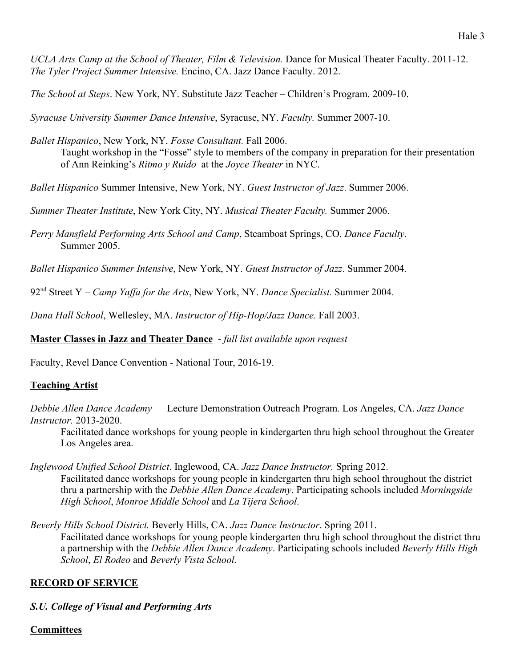*UCLA Arts Camp at the School of Theater, Film & Television.* Dance for Musical Theater Faculty. 2011-12. *The Tyler Project Summer Intensive.* Encino, CA. Jazz Dance Faculty. 2012.

*The School at Steps*. New York, NY. Substitute Jazz Teacher – Children's Program. 2009-10.

*Syracuse University Summer Dance Intensive*, Syracuse, NY. *Faculty.* Summer 2007-10.

*Ballet Hispanico*, New York, NY. *Fosse Consultant.* Fall 2006. Taught workshop in the "Fosse" style to members of the company in preparation for their presentation of Ann Reinking's *Ritmo y Ruido* at the *Joyce Theater* in NYC.

*Ballet Hispanico* Summer Intensive, New York, NY. *Guest Instructor of Jazz*. Summer 2006.

*Summer Theater Institute*, New York City, NY. *Musical Theater Faculty.* Summer 2006.

*Perry Mansfield Performing Arts School and Camp*, Steamboat Springs, CO. *Dance Faculty*. Summer 2005.

*Ballet Hispanico Summer Intensive*, New York, NY. *Guest Instructor of Jazz*. Summer 2004.

92nd Street Y – *Camp Yaffa for the Arts*, New York, NY. *Dance Specialist.* Summer 2004.

*Dana Hall School*, Wellesley, MA. *Instructor of Hip-Hop/Jazz Dance.* Fall 2003.

**Master Classes in Jazz and Theater Dance** - *full list available upon request*

Faculty, Revel Dance Convention - National Tour, 2016-19.

## **Teaching Artist**

*Debbie Allen Dance Academy* – Lecture Demonstration Outreach Program. Los Angeles, CA. *Jazz Dance Instructor.* 2013-2020.

Facilitated dance workshops for young people in kindergarten thru high school throughout the Greater Los Angeles area.

*Inglewood Unified School District*. Inglewood, CA. *Jazz Dance Instructor.* Spring 2012. Facilitated dance workshops for young people in kindergarten thru high school throughout the district thru a partnership with the *Debbie Allen Dance Academy*. Participating schools included *Morningside High School*, *Monroe Middle School* and *La Tijera School*.

*Beverly Hills School District.* Beverly Hills, CA. *Jazz Dance Instructor*. Spring 2011. Facilitated dance workshops for young people kindergarten thru high school throughout the district thru a partnership with the *Debbie Allen Dance Academy*. Participating schools included *Beverly Hills High School*, *El Rodeo* and *Beverly Vista School.*

## **RECORD OF SERVICE**

## *S.U. College of Visual and Performing Arts*

#### **Committees**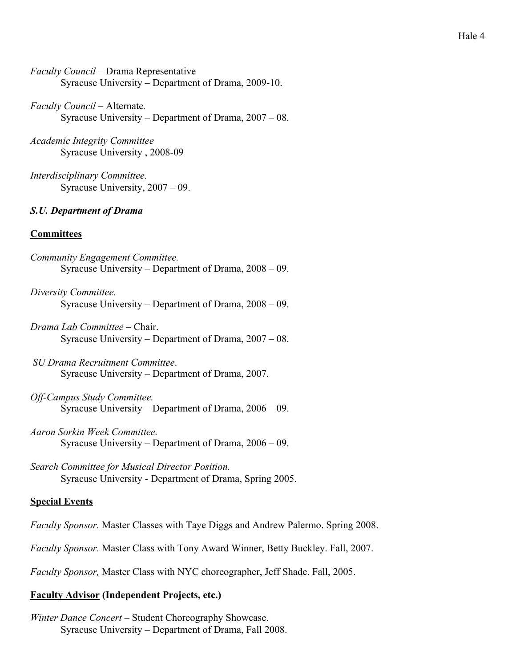*Faculty Council* – Drama Representative Syracuse University – Department of Drama, 2009-10.

*Faculty Council* – Alternate*.* Syracuse University – Department of Drama, 2007 – 08.

- *Academic Integrity Committee* Syracuse University , 2008-09
- *Interdisciplinary Committee.* Syracuse University, 2007 – 09.

## *S.U. Department of Drama*

## **Committees**

- *Community Engagement Committee.* Syracuse University – Department of Drama, 2008 – 09.
- *Diversity Committee.* Syracuse University – Department of Drama, 2008 – 09.
- *Drama Lab Committee*  Chair. Syracuse University – Department of Drama, 2007 – 08.
- *SU Drama Recruitment Committee*. Syracuse University – Department of Drama, 2007.
- *Off-Campus Study Committee.* Syracuse University – Department of Drama, 2006 – 09.
- *Aaron Sorkin Week Committee.* Syracuse University – Department of Drama, 2006 – 09.
- *Search Committee for Musical Director Position.* Syracuse University - Department of Drama, Spring 2005.

#### **Special Events**

- *Faculty Sponsor.* Master Classes with Taye Diggs and Andrew Palermo. Spring 2008.
- *Faculty Sponsor.* Master Class with Tony Award Winner, Betty Buckley. Fall, 2007.

*Faculty Sponsor,* Master Class with NYC choreographer, Jeff Shade. Fall, 2005.

#### **Faculty Advisor (Independent Projects, etc.)**

*Winter Dance Concert* – Student Choreography Showcase. Syracuse University – Department of Drama, Fall 2008.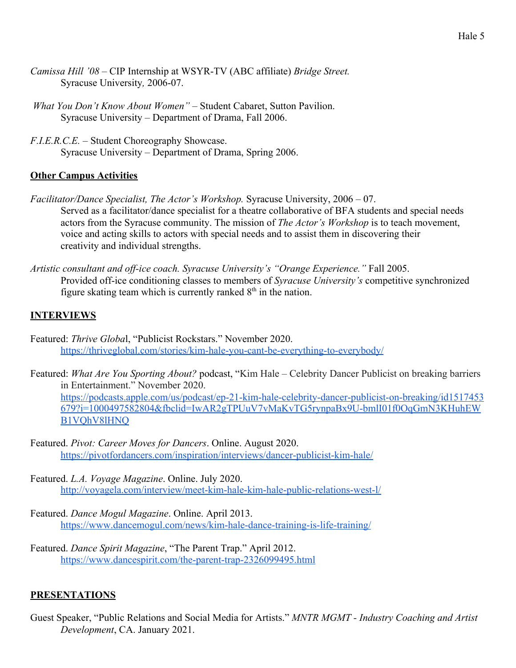- *Camissa Hill '08* CIP Internship at WSYR-TV (ABC affiliate) *Bridge Street.* Syracuse University*,* 2006-07.
- *What You Don't Know About Women"* Student Cabaret, Sutton Pavilion. Syracuse University – Department of Drama, Fall 2006.
- *F.I.E.R.C.E.* Student Choreography Showcase. Syracuse University – Department of Drama, Spring 2006.

## **Other Campus Activities**

- *Facilitator/Dance Specialist, The Actor's Workshop.* Syracuse University, 2006 07. Served as a facilitator/dance specialist for a theatre collaborative of BFA students and special needs actors from the Syracuse community. The mission of *The Actor's Workshop* is to teach movement, voice and acting skills to actors with special needs and to assist them in discovering their creativity and individual strengths.
- *Artistic consultant and off-ice coach. Syracuse University's "Orange Experience."* Fall 2005. Provided off-ice conditioning classes to members of *Syracuse University's* competitive synchronized figure skating team which is currently ranked  $8<sup>th</sup>$  in the nation.

# **INTERVIEWS**

- Featured: *Thrive Globa*l, "Publicist Rockstars." November 2020. <https://thriveglobal.com/stories/kim-hale-you-cant-be-everything-to-everybody/>
- Featured: *What Are You Sporting About?* podcast, "Kim Hale Celebrity Dancer Publicist on breaking barriers in Entertainment." November 2020. [https://podcasts.apple.com/us/podcast/ep-21-kim-hale-celebrity-dancer-publicist-on-breaking/id1517453](https://podcasts.apple.com/us/podcast/ep-21-kim-hale-celebrity-dancer-publicist-on-breaking/id1517453679?i=1000497582804&fbclid=IwAR2gTPUuV7vMaKvTG5rynpaBx9U-bmlI01f0OqGmN3KHuhEWB1VQhV8lHNQ) [679?i=1000497582804&fbclid=IwAR2gTPUuV7vMaKvTG5rynpaBx9U-bmlI01f0OqGmN3KHuhEW](https://podcasts.apple.com/us/podcast/ep-21-kim-hale-celebrity-dancer-publicist-on-breaking/id1517453679?i=1000497582804&fbclid=IwAR2gTPUuV7vMaKvTG5rynpaBx9U-bmlI01f0OqGmN3KHuhEWB1VQhV8lHNQ) [B1VQhV8lHNQ](https://podcasts.apple.com/us/podcast/ep-21-kim-hale-celebrity-dancer-publicist-on-breaking/id1517453679?i=1000497582804&fbclid=IwAR2gTPUuV7vMaKvTG5rynpaBx9U-bmlI01f0OqGmN3KHuhEWB1VQhV8lHNQ)
- Featured. *Pivot: Career Moves for Dancers*. Online. August 2020. <https://pivotfordancers.com/inspiration/interviews/dancer-publicist-kim-hale/>
- Featured. *L.A. Voyage Magazine*. Online. July 2020. <http://voyagela.com/interview/meet-kim-hale-kim-hale-public-relations-west-l/>
- Featured. *Dance Mogul Magazine*. Online. April 2013. <https://www.dancemogul.com/news/kim-hale-dance-training-is-life-training/>
- Featured. *Dance Spirit Magazine*, "The Parent Trap." April 2012. <https://www.dancespirit.com/the-parent-trap-2326099495.html>

## **PRESENTATIONS**

Guest Speaker, "Public Relations and Social Media for Artists." *MNTR MGMT - Industry Coaching and Artist Development*, CA. January 2021.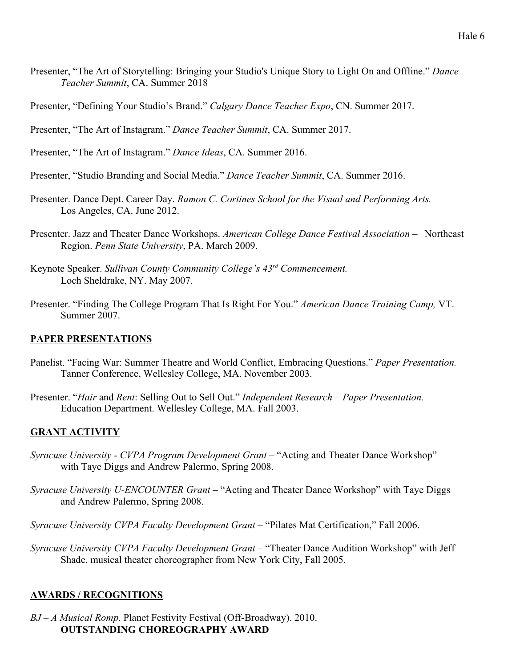- Presenter, "The Art of Storytelling: Bringing your Studio's Unique Story to Light On and Offline." *Dance Teacher Summit*, CA. Summer 2018
- Presenter, "Defining Your Studio's Brand." *Calgary Dance Teacher Expo*, CN. Summer 2017.
- Presenter, "The Art of Instagram." *Dance Teacher Summit*, CA. Summer 2017.
- Presenter, "The Art of Instagram." *Dance Ideas*, CA. Summer 2016.
- Presenter, "Studio Branding and Social Media." *Dance Teacher Summit*, CA. Summer 2016.
- Presenter. Dance Dept. Career Day. *Ramon C. Cortines School for the Visual and Performing Arts.* Los Angeles, CA. June 2012.
- Presenter. Jazz and Theater Dance Workshops. *American College Dance Festival Association –* Northeast Region. *Penn State University*, PA. March 2009.
- Keynote Speaker. *Sullivan County Community College's 43rd Commencement.* Loch Sheldrake, NY. May 2007.
- Presenter. "Finding The College Program That Is Right For You." *American Dance Training Camp,* VT. Summer 2007.

#### **PAPER PRESENTATIONS**

- Panelist. "Facing War: Summer Theatre and World Conflict, Embracing Questions." *Paper Presentation.* Tanner Conference, Wellesley College, MA. November 2003.
- Presenter. "*Hair* and *Rent*: Selling Out to Sell Out." *Independent Research Paper Presentation.* Education Department. Wellesley College, MA. Fall 2003.

#### **GRANT ACTIVITY**

- *Syracuse University CVPA Program Development Grant* "Acting and Theater Dance Workshop" with Taye Diggs and Andrew Palermo, Spring 2008.
- *Syracuse University U-ENCOUNTER Grant* "Acting and Theater Dance Workshop" with Taye Diggs and Andrew Palermo, Spring 2008.
- *Syracuse University CVPA Faculty Development Grant* "Pilates Mat Certification," Fall 2006.
- *Syracuse University CVPA Faculty Development Grant* "Theater Dance Audition Workshop" with Jeff Shade, musical theater choreographer from New York City, Fall 2005.

#### **AWARDS / RECOGNITIONS**

*BJ – A Musical Romp.* Planet Festivity Festival (Off-Broadway). 2010. **OUTSTANDING CHOREOGRAPHY AWARD**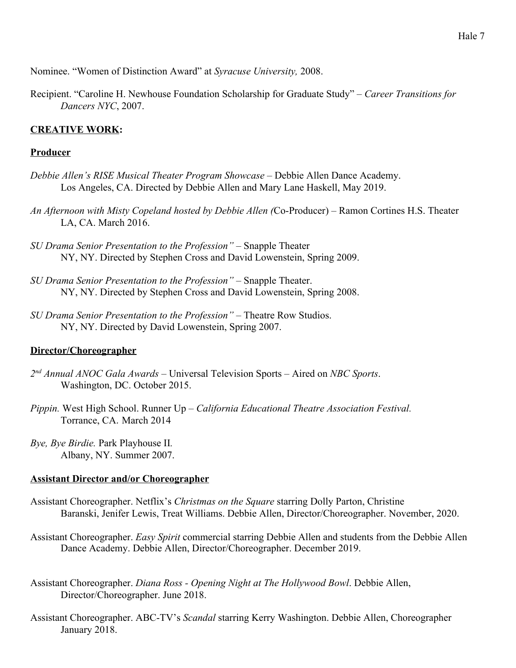Nominee. "Women of Distinction Award" at *Syracuse University,* 2008.

Recipient. "Caroline H. Newhouse Foundation Scholarship for Graduate Study" *– Career Transitions for Dancers NYC*, 2007.

#### **CREATIVE WORK:**

#### **Producer**

- *Debbie Allen's RISE Musical Theater Program Showcase* Debbie Allen Dance Academy. Los Angeles, CA. Directed by Debbie Allen and Mary Lane Haskell, May 2019.
- *An Afternoon with Misty Copeland hosted by Debbie Allen (*Co-Producer) Ramon Cortines H.S. Theater LA, CA. March 2016.
- *SU Drama Senior Presentation to the Profession"*  Snapple Theater NY, NY. Directed by Stephen Cross and David Lowenstein, Spring 2009.
- *SU Drama Senior Presentation to the Profession"*  Snapple Theater. NY, NY. Directed by Stephen Cross and David Lowenstein, Spring 2008.
- *SU Drama Senior Presentation to the Profession"*  Theatre Row Studios. NY, NY. Directed by David Lowenstein, Spring 2007.

#### **Director/Choreographer**

- *2 nd Annual ANOC Gala Awards*  Universal Television Sports Aired on *NBC Sports*. Washington, DC. October 2015.
- *Pippin.* West High School. Runner Up *California Educational Theatre Association Festival.* Torrance, CA*.* March 2014
- *Bye, Bye Birdie.* Park Playhouse II*.* Albany, NY. Summer 2007.

#### **Assistant Director and/or Choreographer**

- Assistant Choreographer. Netflix's *Christmas on the Square* starring Dolly Parton, Christine Baranski, Jenifer Lewis, Treat Williams. Debbie Allen, Director/Choreographer. November, 2020.
- Assistant Choreographer. *Easy Spirit* commercial starring Debbie Allen and students from the Debbie Allen Dance Academy. Debbie Allen, Director/Choreographer. December 2019.
- Assistant Choreographer. *Diana Ross Opening Night at The Hollywood Bowl*. Debbie Allen, Director/Choreographer. June 2018.
- Assistant Choreographer. ABC-TV's *Scandal* starring Kerry Washington. Debbie Allen, Choreographer January 2018.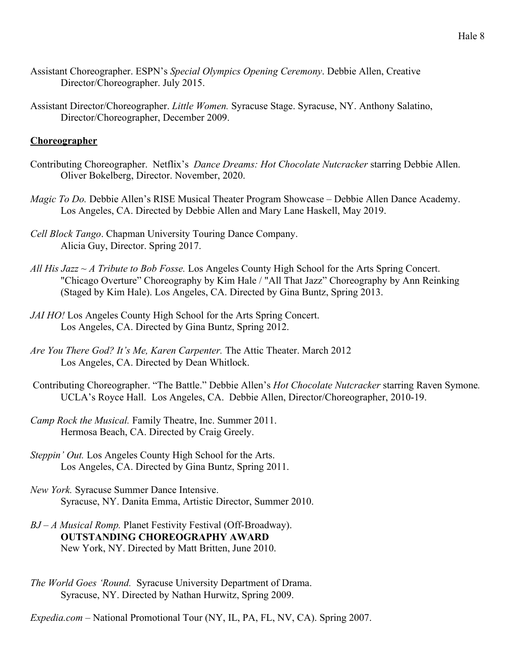- Assistant Choreographer. ESPN's *Special Olympics Opening Ceremony*. Debbie Allen, Creative Director/Choreographer. July 2015.
- Assistant Director/Choreographer. *Little Women.* Syracuse Stage. Syracuse, NY. Anthony Salatino, Director/Choreographer, December 2009.

#### **Choreographer**

- Contributing Choreographer. Netflix's *Dance Dreams: Hot Chocolate Nutcracker* starring Debbie Allen. Oliver Bokelberg, Director. November, 2020.
- *Magic To Do.* Debbie Allen's RISE Musical Theater Program Showcase Debbie Allen Dance Academy. Los Angeles, CA. Directed by Debbie Allen and Mary Lane Haskell, May 2019.
- *Cell Block Tango*. Chapman University Touring Dance Company. Alicia Guy, Director. Spring 2017.
- *All His Jazz ~ A Tribute to Bob Fosse.* Los Angeles County High School for the Arts Spring Concert. "Chicago Overture" Choreography by Kim Hale / "All That Jazz" Choreography by Ann Reinking (Staged by Kim Hale). Los Angeles, CA. Directed by Gina Buntz, Spring 2013.
- *JAI HO!* Los Angeles County High School for the Arts Spring Concert. Los Angeles, CA. Directed by Gina Buntz, Spring 2012.
- *Are You There God? It's Me, Karen Carpenter.* The Attic Theater. March 2012 Los Angeles, CA. Directed by Dean Whitlock.
- Contributing Choreographer. "The Battle." Debbie Allen's *Hot Chocolate Nutcracker* starring Raven Symone*.* UCLA's Royce Hall. Los Angeles, CA. Debbie Allen, Director/Choreographer, 2010-19.
- *Camp Rock the Musical.* Family Theatre, Inc. Summer 2011. Hermosa Beach, CA. Directed by Craig Greely.
- *Steppin' Out.* Los Angeles County High School for the Arts. Los Angeles, CA. Directed by Gina Buntz, Spring 2011.
- *New York.* Syracuse Summer Dance Intensive. Syracuse, NY. Danita Emma, Artistic Director, Summer 2010.
- *BJ A Musical Romp.* Planet Festivity Festival (Off-Broadway). **OUTSTANDING CHOREOGRAPHY AWARD** New York, NY. Directed by Matt Britten, June 2010.
- *The World Goes 'Round.* Syracuse University Department of Drama. Syracuse, NY. Directed by Nathan Hurwitz, Spring 2009.
- *Expedia.com* National Promotional Tour (NY, IL, PA, FL, NV, CA). Spring 2007.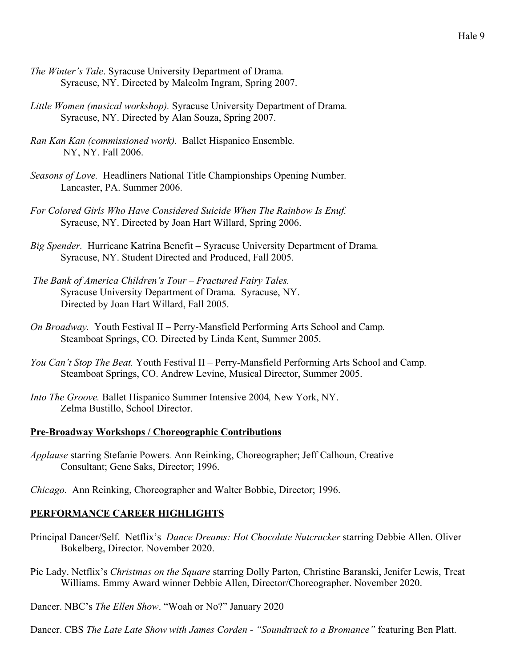- *The Winter's Tale*. Syracuse University Department of Drama*.* Syracuse, NY. Directed by Malcolm Ingram, Spring 2007.
- *Little Women (musical workshop).* Syracuse University Department of Drama*.* Syracuse, NY. Directed by Alan Souza, Spring 2007.
- *Ran Kan Kan (commissioned work).* Ballet Hispanico Ensemble*.* NY, NY. Fall 2006.
- *Seasons of Love.* Headliners National Title Championships Opening Number*.* Lancaster, PA. Summer 2006.
- *For Colored Girls Who Have Considered Suicide When The Rainbow Is Enuf.* Syracuse, NY. Directed by Joan Hart Willard, Spring 2006.
- *Big Spender.* Hurricane Katrina Benefit Syracuse University Department of Drama*.* Syracuse, NY. Student Directed and Produced, Fall 2005.
- *The Bank of America Children's Tour Fractured Fairy Tales.* Syracuse University Department of Drama*.* Syracuse, NY. Directed by Joan Hart Willard, Fall 2005.
- *On Broadway.* Youth Festival II Perry-Mansfield Performing Arts School and Camp*.* Steamboat Springs, CO*.* Directed by Linda Kent, Summer 2005.
- *You Can't Stop The Beat.* Youth Festival II Perry-Mansfield Performing Arts School and Camp*.* Steamboat Springs, CO. Andrew Levine, Musical Director, Summer 2005.
- *Into The Groove.* Ballet Hispanico Summer Intensive 2004*,* New York, NY. Zelma Bustillo, School Director.

#### **Pre-Broadway Workshops / Choreographic Contributions**

*Applause* starring Stefanie Powers*.* Ann Reinking, Choreographer; Jeff Calhoun, Creative Consultant; Gene Saks, Director; 1996.

*Chicago.* Ann Reinking, Choreographer and Walter Bobbie, Director; 1996.

#### **PERFORMANCE CAREER HIGHLIGHTS**

- Principal Dancer/Self. Netflix's *Dance Dreams: Hot Chocolate Nutcracker* starring Debbie Allen. Oliver Bokelberg, Director. November 2020.
- Pie Lady. Netflix's *Christmas on the Square* starring Dolly Parton, Christine Baranski, Jenifer Lewis, Treat Williams. Emmy Award winner Debbie Allen, Director/Choreographer. November 2020.
- Dancer. NBC's *The Ellen Show*. "Woah or No?" January 2020

Dancer. CBS *The Late Late Show with James Corden - "Soundtrack to a Bromance"* featuring Ben Platt.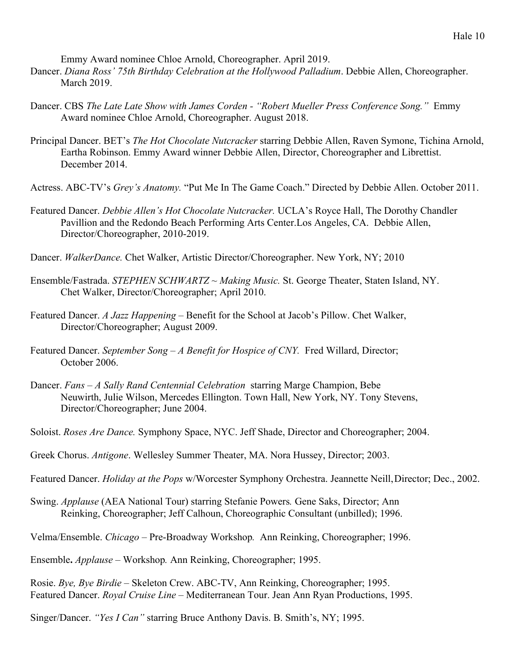Emmy Award nominee Chloe Arnold, Choreographer. April 2019.

- Dancer. *Diana Ross' 75th Birthday Celebration at the Hollywood Palladium*. Debbie Allen, Choreographer. March 2019.
- Dancer. CBS *The Late Late Show with James Corden "Robert Mueller Press Conference Song."* Emmy Award nominee Chloe Arnold, Choreographer. August 2018.
- Principal Dancer. BET's *The Hot Chocolate Nutcracker* starring Debbie Allen, Raven Symone, Tichina Arnold, Eartha Robinson. Emmy Award winner Debbie Allen, Director, Choreographer and Librettist. December 2014.
- Actress. ABC-TV's *Grey's Anatomy.* "Put Me In The Game Coach." Directed by Debbie Allen. October 2011.
- Featured Dancer. *Debbie Allen's Hot Chocolate Nutcracker.* UCLA's Royce Hall, The Dorothy Chandler Pavillion and the Redondo Beach Performing Arts Center.Los Angeles, CA. Debbie Allen, Director/Choreographer, 2010-2019.
- Dancer. *WalkerDance.* Chet Walker, Artistic Director/Choreographer. New York, NY; 2010
- Ensemble/Fastrada. *STEPHEN SCHWARTZ ~ Making Music.* St. George Theater, Staten Island, NY. Chet Walker, Director/Choreographer; April 2010.
- Featured Dancer. *A Jazz Happening* Benefit for the School at Jacob's Pillow. Chet Walker, Director/Choreographer; August 2009.
- Featured Dancer. *September Song A Benefit for Hospice of CNY*. Fred Willard, Director; October 2006.
- Dancer. *Fans A Sally Rand Centennial Celebration* starring Marge Champion, Bebe Neuwirth, Julie Wilson, Mercedes Ellington. Town Hall, New York, NY. Tony Stevens, Director/Choreographer; June 2004.
- Soloist. *Roses Are Dance.* Symphony Space, NYC. Jeff Shade, Director and Choreographer; 2004.
- Greek Chorus. *Antigone*. Wellesley Summer Theater, MA. Nora Hussey, Director; 2003.
- Featured Dancer. *Holiday at the Pops* w/Worcester Symphony Orchestra. Jeannette Neill,Director; Dec., 2002.
- Swing. *Applause* (AEA National Tour) starring Stefanie Powers*.* Gene Saks, Director; Ann Reinking, Choreographer; Jeff Calhoun, Choreographic Consultant (unbilled); 1996.
- Velma/Ensemble. *Chicago*  Pre-Broadway Workshop*.* Ann Reinking, Choreographer; 1996.
- Ensemble**.** *Applause* Workshop*.* Ann Reinking, Choreographer; 1995.
- Rosie. *Bye, Bye Birdie* Skeleton Crew. ABC-TV, Ann Reinking, Choreographer; 1995. Featured Dancer. *Royal Cruise Line –* Mediterranean Tour. Jean Ann Ryan Productions, 1995.
- Singer/Dancer. *"Yes I Can"* starring Bruce Anthony Davis. B. Smith's, NY; 1995.